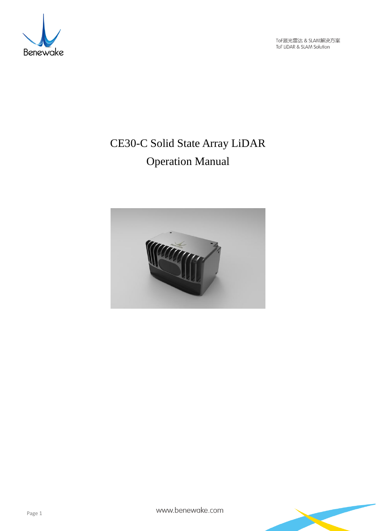

ToF激光雷达 & SLAM解决方案<br>ToF LiDAR & SLAM Solution

# CE30-C Solid State Array LiDAR Operation Manual



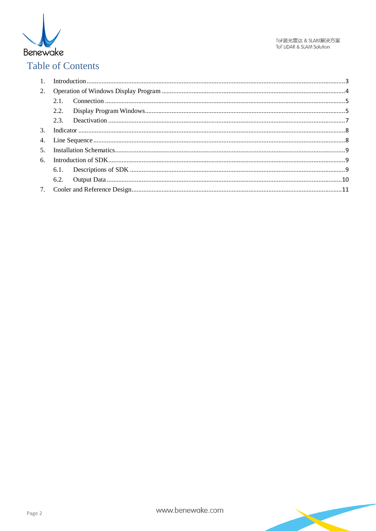

# **Table of Contents**

| 6. |  |  |  |
|----|--|--|--|
|    |  |  |  |
|    |  |  |  |
|    |  |  |  |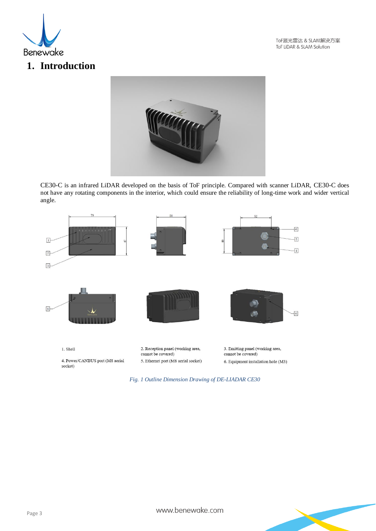

ToF激光雷达 & SLAM解决方案 ToF LiDAR & SLAM Solution

# <span id="page-2-0"></span>**1. Introduction**



CE30-C is an infrared LiDAR developed on the basis of ToF principle. Compared with scanner LiDAR, CE30-C does not have any rotating components in the interior, which could ensure the reliability of long-time work and wider vertical angle.



*Fig. 1 Outline Dimension Drawing of DE-LIADAR CE30*

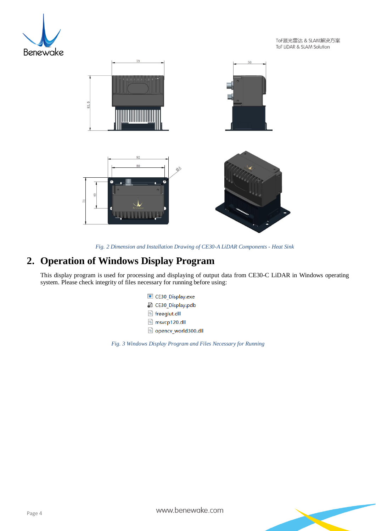

ToF激光雷达 & SLAM解决方案 ToF LiDAR & SLAM Solution



*Fig. 2 Dimension and Installation Drawing of CE30-A LiDAR Components - Heat Sink*

# <span id="page-3-0"></span>**2. Operation of Windows Display Program**

This display program is used for processing and displaying of output data from CE30-C LiDAR in Windows operating system. Please check integrity of files necessary for running before using:

- **E CE30 Display.exe**
- 图 CE30\_Display.pdb
- freeglut.dll
- nsvcp120.dll
- opencv\_world300.dll

*Fig. 3 Windows Display Program and Files Necessary for Running*

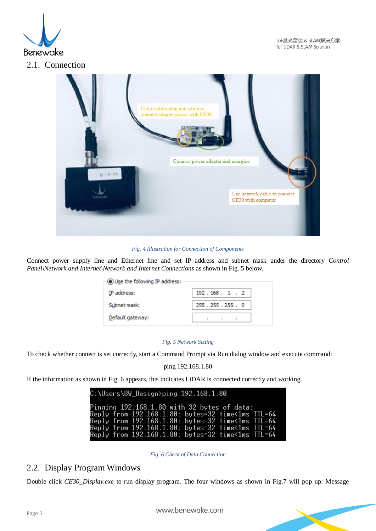

<span id="page-4-0"></span>

*Fig. 4 Illustration for Connection of Components* 

Connect power supply line and Ethernet line and set IP address and subnet mask under the directory *Control Panel\Network and Internet\Network and Internet Connections* as shown in Fig. 5 below.

| $\odot$ Use the following IP address: |                                             |  |  |  |  |
|---------------------------------------|---------------------------------------------|--|--|--|--|
| IP address:                           | 192.168.1.2                                 |  |  |  |  |
| Subnet mask:                          | 255.255.255.0                               |  |  |  |  |
| Default gateway:                      | ٠<br>$\ddot{\phantom{1}}$<br>$\blacksquare$ |  |  |  |  |

#### *Fig. 5 Network Setting*

To check whether connect is set correctly, start a Command Prompt via Run dialog window and execute command:

ping 192.168.1.80

If the information as shown in Fig. 6 appears, this indicates LiDAR is connected correctly and working.

| $C:\Upsilon\$ C: $\Upsilon$ Cesign>ping 192.168.1.80                                                   |  |  |
|--------------------------------------------------------------------------------------------------------|--|--|
| Pinging $192.168.1.80$ with 32 bytes of data:<br>Reply from 192.168.1.80: bytes=32 time<1ms TTL=64     |  |  |
| Reply from 192.168.1.80: bytes=32 time<1ms TTL=64                                                      |  |  |
| Reply from 192.168.1.80: bytes=32 time<1ms TTL=64<br>Reply from 192.168.1.80: bytes=32 time<1ms TTL=64 |  |  |

*Fig. 6 Check of Data Connection*

### <span id="page-4-1"></span>2.2. Display Program Windows

Double click *CE30\_Display.exe* to run display program. The four windows as shown in Fig.7 will pop up: Message

www.benewake.com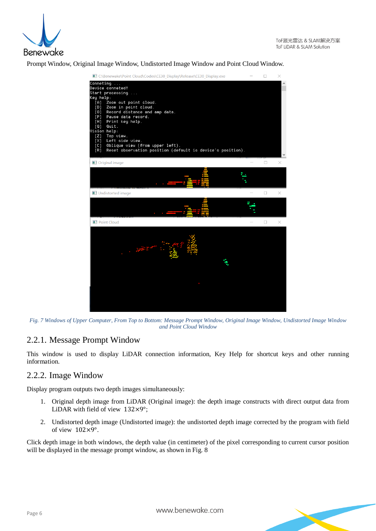

Prompt Window, Original Image Window, Undistorted Image Window and Point Cloud Window.



*Fig. 7 Windows of Upper Computer, From Top to Bottom: Message Prompt Window, Original Image Window, Undistorted Image Window and Point Cloud Window*

### 2.2.1. Message Prompt Window

This window is used to display LiDAR connection information, Key Help for shortcut keys and other running information.

#### 2.2.2. Image Window

Display program outputs two depth images simultaneously:

- 1. Original depth image from LiDAR (Original image): the depth image constructs with direct output data from LiDAR with field of view  $132\times9^\circ$ ;
- 2. Undistorted depth image (Undistorted image): the undistorted depth image corrected by the program with field of view 102×9°.

Click depth image in both windows, the depth value (in centimeter) of the pixel corresponding to current cursor position will be displayed in the message prompt window, as shown in Fig. 8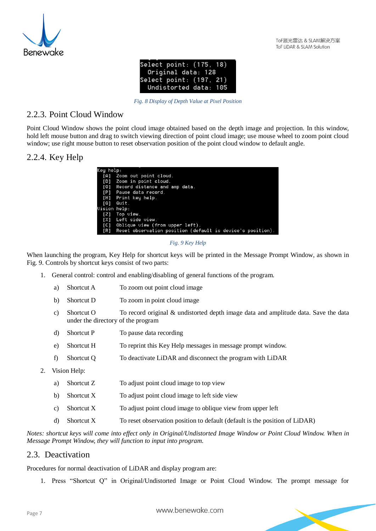

| Select point: (175, 18) |  |
|-------------------------|--|
| Original data: 128      |  |
| Select point: (197, 21) |  |
| Undistorted data: 105   |  |

*Fig. 8 Display of Depth Value at Pixel Position*

### 2.2.3. Point Cloud Window

Point Cloud Window shows the point cloud image obtained based on the depth image and projection. In this window, hold left mouse button and drag to switch viewing direction of point cloud image; use mouse wheel to zoom point cloud window; use right mouse button to reset observation position of the point cloud window to default angle.

### 2.2.4. Key Help

| Key help:    |                                                            |  |  |  |  |
|--------------|------------------------------------------------------------|--|--|--|--|
|              | [A] Zoom out point cloud.                                  |  |  |  |  |
| T D 1        | Zoom in point cloud.                                       |  |  |  |  |
| [0]          | Record distance and amp data.                              |  |  |  |  |
| [P]          | Pause data record.                                         |  |  |  |  |
| [H]          | Print key help.                                            |  |  |  |  |
| [0]          | Quit.                                                      |  |  |  |  |
| Uision help: |                                                            |  |  |  |  |
|              | $[2]$ Top view.                                            |  |  |  |  |
| TX1          | Left side view.                                            |  |  |  |  |
| [C]          | Oblique view (from upper left).                            |  |  |  |  |
| [R]          | Reset observation position (default is device's position). |  |  |  |  |
|              |                                                            |  |  |  |  |

*Fig. 9 Key Help*

When launching the program, Key Help for shortcut keys will be printed in the Message Prompt Window, as shown in Fig. 9. Controls by shortcut keys consist of two parts:

- 1. General control: control and enabling/disabling of general functions of the program.
	- a) Shortcut A To zoom out point cloud image
	- b) Shortcut D To zoom in point cloud image
	- c) Shortcut O To record original & undistorted depth image data and amplitude data. Save the data under the directory of the program
	- d) Shortcut P To pause data recording
	- e) Shortcut H To reprint this Key Help messages in message prompt window.
	- f) Shortcut Q To deactivate LiDAR and disconnect the program with LiDAR
- 2. Vision Help:
	- a) Shortcut Z To adjust point cloud image to top view
	- b) Shortcut  $X$  To adjust point cloud image to left side view
	- c) Shortcut X To adjust point cloud image to oblique view from upper left
	- d) Shortcut X To reset observation position to default (default is the position of LiDAR)

*Notes: shortcut keys will come into effect only in Original/Undistorted Image Window or Point Cloud Window. When in Message Prompt Window, they will function to input into program.*

### <span id="page-6-0"></span>2.3. Deactivation

Procedures for normal deactivation of LiDAR and display program are:

1. Press "Shortcut Q" in Original/Undistorted Image or Point Cloud Window. The prompt message for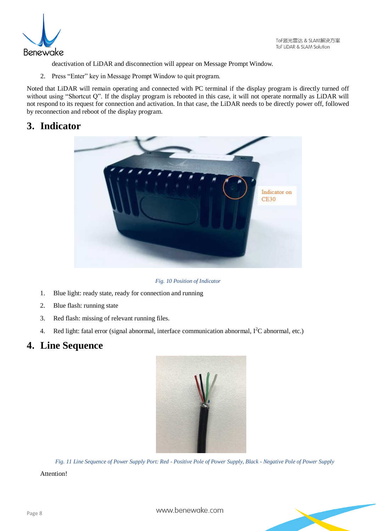

deactivation of LiDAR and disconnection will appear on Message Prompt Window.

2. Press "Enter" key in Message Prompt Window to quit program.

Noted that LiDAR will remain operating and connected with PC terminal if the display program is directly turned off without using "Shortcut Q". If the display program is rebooted in this case, it will not operate normally as LiDAR will not respond to its request for connection and activation. In that case, the LiDAR needs to be directly power off, followed by reconnection and reboot of the display program.

# <span id="page-7-0"></span>**3. Indicator**



*Fig. 10 Position of Indicator*

- 1. Blue light: ready state, ready for connection and running
- 2. Blue flash: running state
- 3. Red flash: missing of relevant running files.
- <span id="page-7-1"></span>4. Red light: fatal error (signal abnormal, interface communication abnormal,  $I<sup>2</sup>C$  abnormal, etc.)

# **4. Line Sequence**



*Fig. 11 Line Sequence of Power Supply Port: Red - Positive Pole of Power Supply, Black - Negative Pole of Power Supply*

#### Attention!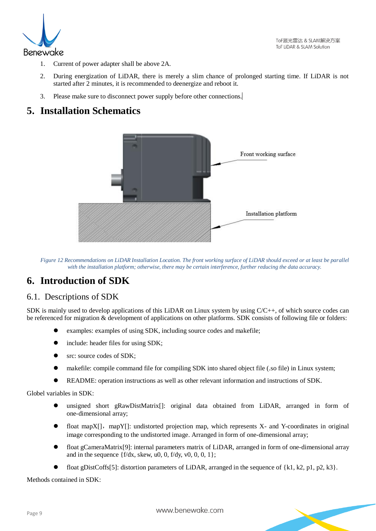

- 1. Current of power adapter shall be above 2A.
- 2. During energization of LiDAR, there is merely a slim chance of prolonged starting time. If LiDAR is not started after 2 minutes, it is recommended to deenergize and reboot it.
- 3. Please make sure to disconnect power supply before other connections.

# <span id="page-8-0"></span>**5. Installation Schematics**



*Figure 12 Recommendations on LiDAR Installation Location. The front working surface of LiDAR should exceed or at least be parallel with the installation platform; otherwise, there may be certain interference, further reducing the data accuracy.*

# <span id="page-8-1"></span>**6. Introduction of SDK**

### <span id="page-8-2"></span>6.1. Descriptions of SDK

SDK is mainly used to develop applications of this LiDAR on Linux system by using C/C++, of which source codes can be referenced for migration & development of applications on other platforms. SDK consists of following file or folders:

- examples: examples of using SDK, including source codes and makefile;
- include: header files for using SDK;
- src: source codes of SDK;
- makefile: compile command file for compiling SDK into shared object file (.so file) in Linux system;
- README: operation instructions as well as other relevant information and instructions of SDK.

Globel variables in SDK:

- unsigned short gRawDistMatrix[]: original data obtained from LiDAR, arranged in form of one-dimensional array;
- float mapX[], mapY[]: undistorted projection map, which represents X- and Y-coordinates in original image corresponding to the undistorted image. Arranged in form of one-dimensional array;
- float gCameraMatrix[9]: internal parameters matrix of LiDAR, arranged in form of one-dimensional array and in the sequence  ${f/dx$ , skew, u0, 0,  $f/dy$ , v0, 0, 0, 1};
- float gDistCoffs[5]: distortion parameters of LiDAR, arranged in the sequence of {k1, k2, p1, p2, k3}.

Methods contained in SDK: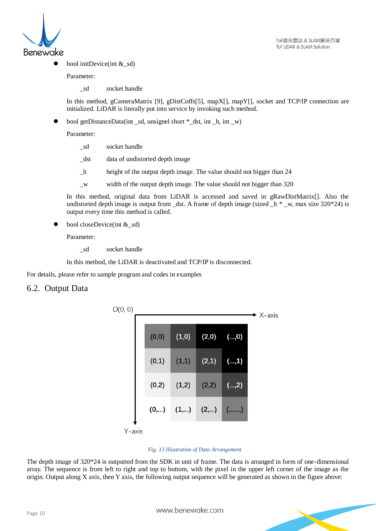

bool initDevice(int & sd)

Parameter:

\_sd socket handle

In this method, gCameraMatrix [9], gDistCoffs[5], mapX[], mapY[], socket and TCP/IP connection are initialized. LiDAR is literally put into service by invoking such method.

bool getDistanceData(int \_sd, unsignel short \*\_dst, int \_h, int \_w)

Parameter:

- \_sd socket handle
- dst data of undistorted depth image
- \_h height of the output depth image. The value should not bigger than 24
- \_w width of the output depth image. The value should not bigger than 320

In this method, original data from LiDAR is accessed and saved in gRawDistMatrix[]. Also the undistorted depth image is output from \_dst. A frame of depth image (sized  $\Delta h^*$  \_w, max size 320\*24) is output every time this method is called.

bool closeDevice(int & sd)

Parameter:

\_sd socket handle

In this method, the LiDAR is deactivated and TCP/IP is disconnected.

For details, please refer to sample program and codes in examples

#### <span id="page-9-0"></span>6.2. Output Data



#### *Fig. 13 Illustration of Data Arrangement*

The depth image of 320\*24 is outputted from the SDK in unit of frame. The data is arranged in form of one-dimensional array. The sequence is from left to right and top to bottom, with the pixel in the upper left corner of the image as the origin. Output along X axis, then Y axis, the following output sequence will be generated as shown in the figure above:

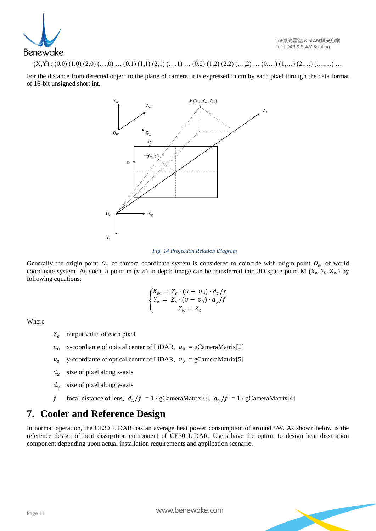

 $(X,Y) : (0,0) (1,0) (2,0) (...,0) ... (0,1) (1,1) (2,1) (...,1) ... (0,2) (1,2) (2,2) (...,2) ... (0,...) (1,...) (2,...) (...,...) ...$ 

For the distance from detected object to the plane of camera, it is expressed in cm by each pixel through the data format of 16-bit unsigned short int.



#### *Fig. 14 Projection Relation Diagram*

Generally the origin point  $O_c$  of camera coordinate system is considered to coincide with origin point  $O_w$  of world coordinate system. As such, a point m  $(u,v)$  in depth image can be transferred into 3D space point M  $(X_w, Y_w, Z_w)$  by following equations:

$$
\begin{cases}\nX_w = Z_c \cdot (u - u_0) \cdot d_x / f \\
Y_w = Z_c \cdot (v - v_0) \cdot d_y / f \\
Z_w = Z_c\n\end{cases}
$$

Where

- $Z_c$  output value of each pixel
- $u_0$  x-coordiante of optical center of LiDAR,  $u_0 = gC$ ameraMatrix[2]
- $v_0$  y-coordiante of optical center of LiDAR,  $v_0 = gC$ ameraMatrix[5]
- $d_x$  size of pixel along x-axis
- $d<sub>y</sub>$  size of pixel along y-axis
- f focal distance of lens,  $d_x/f = 1 / gC$ ameraMatrix[0],  $d_y/f = 1 / gC$ ameraMatrix[4]

## <span id="page-10-0"></span>**7. Cooler and Reference Design**

In normal operation, the CE30 LiDAR has an average heat power consumption of around 5W. As shown below is the reference design of heat dissipation component of CE30 LiDAR. Users have the option to design heat dissipation component depending upon actual installation requirements and application scenario.